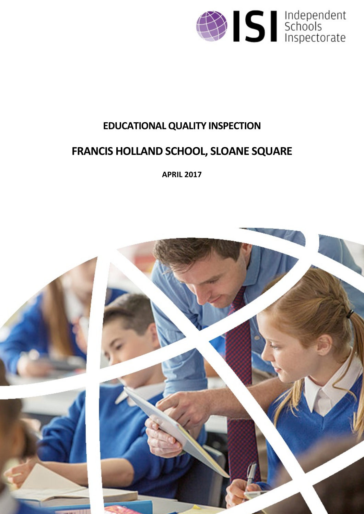

# **EDUCATIONALQUALITY INSPECTION**

# **FRANCIS HOLLAND SCHOOL, SLOANE SQUARE**

**APRIL 2017**

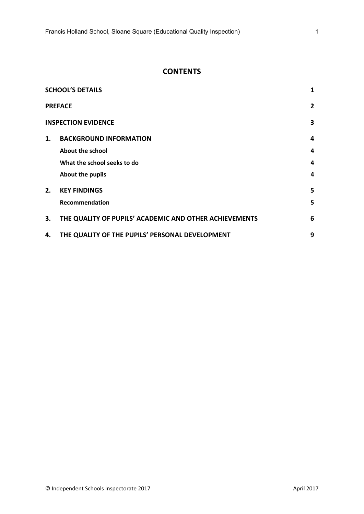# **CONTENTS**

| <b>SCHOOL'S DETAILS</b><br>1    |                                                        |   |  |  |  |
|---------------------------------|--------------------------------------------------------|---|--|--|--|
|                                 | <b>PREFACE</b>                                         |   |  |  |  |
| <b>INSPECTION EVIDENCE</b><br>3 |                                                        |   |  |  |  |
| 1.                              | <b>BACKGROUND INFORMATION</b>                          | 4 |  |  |  |
|                                 | About the school                                       | 4 |  |  |  |
|                                 | What the school seeks to do                            | 4 |  |  |  |
|                                 | About the pupils                                       | 4 |  |  |  |
| 2.                              | <b>KEY FINDINGS</b>                                    | 5 |  |  |  |
|                                 | Recommendation                                         | 5 |  |  |  |
| 3.                              | THE QUALITY OF PUPILS' ACADEMIC AND OTHER ACHIEVEMENTS | 6 |  |  |  |
| 4.                              | THE QUALITY OF THE PUPILS' PERSONAL DEVELOPMENT        | 9 |  |  |  |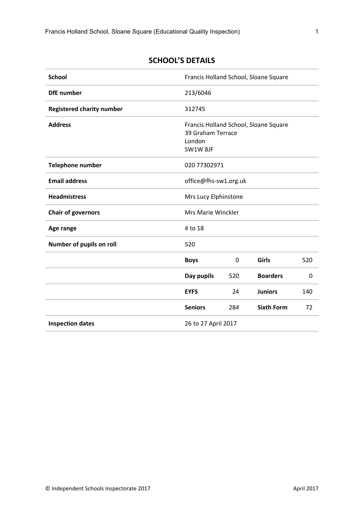<span id="page-2-0"></span>

| <b>SCHOOL'S DETAILS</b> |
|-------------------------|
|-------------------------|

| <b>School</b>                    | Francis Holland School, Sloane Square   |             |                                       |     |
|----------------------------------|-----------------------------------------|-------------|---------------------------------------|-----|
| <b>DfE</b> number                | 213/6046                                |             |                                       |     |
| <b>Registered charity number</b> | 312745                                  |             |                                       |     |
| <b>Address</b>                   | 39 Graham Terrace<br>London<br>SW1W 8JF |             | Francis Holland School, Sloane Square |     |
| <b>Telephone number</b>          | 020 77302971                            |             |                                       |     |
| <b>Email address</b>             | office@fhs-sw1.org.uk                   |             |                                       |     |
| <b>Headmistress</b>              | Mrs Lucy Elphinstone                    |             |                                       |     |
| <b>Chair of governors</b>        | Mrs Marie Winckler                      |             |                                       |     |
| Age range                        | 4 to 18                                 |             |                                       |     |
| Number of pupils on roll         | 520                                     |             |                                       |     |
|                                  | <b>Boys</b>                             | $\mathbf 0$ | Girls                                 | 520 |
|                                  | Day pupils                              | 520         | <b>Boarders</b>                       | 0   |
|                                  | <b>EYFS</b>                             | 24          | <b>Juniors</b>                        | 140 |
|                                  | <b>Seniors</b>                          | 284         | <b>Sixth Form</b>                     | 72  |
| <b>Inspection dates</b>          | 26 to 27 April 2017                     |             |                                       |     |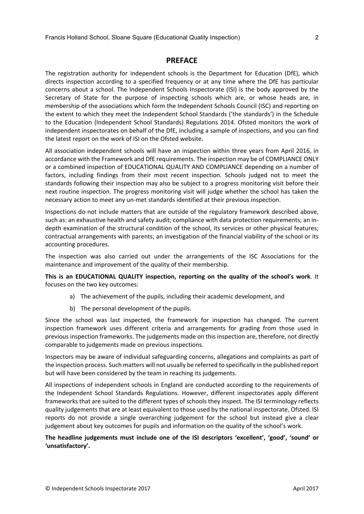### <span id="page-3-0"></span>**PREFACE**

The registration authority for independent schools is the Department for Education (DfE), which directs inspection according to a specified frequency or at any time where the DfE has particular concerns about a school. The Independent Schools Inspectorate (ISI) is the body approved by the Secretary of State for the purpose of inspecting schools which are, or whose heads are, in membership of the associations which form the Independent Schools Council (ISC) and reporting on the extent to which they meet the Independent School Standards ('the standards') in the Schedule to the Education (Independent School Standards) Regulations 2014. Ofsted monitors the work of independent inspectorates on behalf of the DfE, including a sample of inspections, and you can find the latest report on the work of ISI on the Ofsted website.

All association independent schools will have an inspection within three years from April 2016, in accordance with the Framework and DfE requirements. The inspection may be of COMPLIANCE ONLY or a combined inspection of EDUCATIONAL QUALITY AND COMPLIANCE depending on a number of factors, including findings from their most recent inspection. Schools judged not to meet the standards following their inspection may also be subject to a progress monitoring visit before their next routine inspection. The progress monitoring visit will judge whether the school has taken the necessary action to meet any un-met standards identified at their previous inspection.

Inspections do not include matters that are outside of the regulatory framework described above, such as: an exhaustive health and safety audit; compliance with data protection requirements; an indepth examination of the structural condition of the school, its services or other physical features; contractual arrangements with parents; an investigation of the financial viability of the school or its accounting procedures.

The inspection was also carried out under the arrangements of the ISC Associations for the maintenance and improvement of the quality of their membership.

**This is an EDUCATIONAL QUALITY inspection, reporting on the quality of the school's work**. It focuses on the two key outcomes:

- a) The achievement of the pupils, including their academic development, and
- b) The personal development of the pupils.

Since the school was last inspected, the framework for inspection has changed. The current inspection framework uses different criteria and arrangements for grading from those used in previous inspection frameworks. The judgements made on this inspection are, therefore, not directly comparable to judgements made on previous inspections.

Inspectors may be aware of individual safeguarding concerns, allegations and complaints as part of the inspection process. Such matters will not usually be referred to specifically in the published report but will have been considered by the team in reaching its judgements.

All inspections of independent schools in England are conducted according to the requirements of the Independent School Standards Regulations. However, different inspectorates apply different frameworks that are suited to the different types of schools they inspect. The ISI terminology reflects quality judgements that are at least equivalent to those used by the national inspectorate, Ofsted. ISI reports do not provide a single overarching judgement for the school but instead give a clear judgement about key outcomes for pupils and information on the quality of the school's work.

**The headline judgements must include one of the ISI descriptors 'excellent', 'good', 'sound' or 'unsatisfactory'.**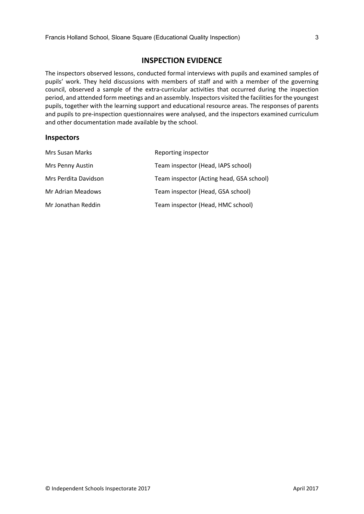### <span id="page-4-0"></span>**INSPECTION EVIDENCE**

The inspectors observed lessons, conducted formal interviews with pupils and examined samples of pupils' work. They held discussions with members of staff and with a member of the governing council, observed a sample of the extra-curricular activities that occurred during the inspection period, and attended form meetings and an assembly. Inspectors visited the facilities for the youngest pupils, together with the learning support and educational resource areas. The responses of parents and pupils to pre-inspection questionnaires were analysed, and the inspectors examined curriculum and other documentation made available by the school.

#### **Inspectors**

| Mrs Susan Marks      | Reporting inspector                      |
|----------------------|------------------------------------------|
| Mrs Penny Austin     | Team inspector (Head, IAPS school)       |
| Mrs Perdita Davidson | Team inspector (Acting head, GSA school) |
| Mr Adrian Meadows    | Team inspector (Head, GSA school)        |
| Mr Jonathan Reddin   | Team inspector (Head, HMC school)        |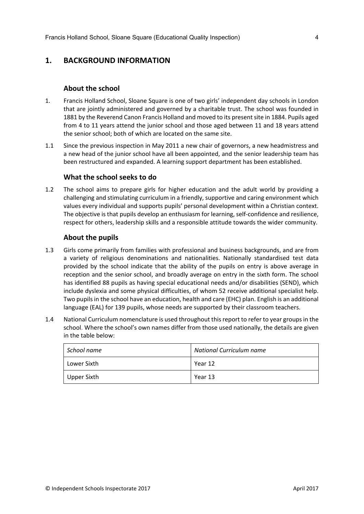# <span id="page-5-0"></span>**1. BACKGROUND INFORMATION**

#### <span id="page-5-1"></span>**About the school**

- 1. Francis Holland School, Sloane Square is one of two girls' independent day schools in London that are jointly administered and governed by a charitable trust. The school was founded in 1881 by the Reverend Canon Francis Holland and moved to its presentsite in 1884. Pupils aged from 4 to 11 years attend the junior school and those aged between 11 and 18 years attend the senior school; both of which are located on the same site.
- 1.1 Since the previous inspection in May 2011 a new chair of governors, a new headmistress and a new head of the junior school have all been appointed, and the senior leadership team has been restructured and expanded. A learning support department has been established.

#### <span id="page-5-2"></span>**What the school seeks to do**

1.2 The school aims to prepare girls for higher education and the adult world by providing a challenging and stimulating curriculum in a friendly, supportive and caring environment which values every individual and supports pupils' personal development within a Christian context. The objective is that pupils develop an enthusiasm for learning, self-confidence and resilience, respect for others, leadership skills and a responsible attitude towards the wider community.

#### <span id="page-5-3"></span>**About the pupils**

- 1.3 Girls come primarily from families with professional and business backgrounds, and are from a variety of religious denominations and nationalities. Nationally standardised test data provided by the school indicate that the ability of the pupils on entry is above average in reception and the senior school, and broadly average on entry in the sixth form. The school has identified 88 pupils as having special educational needs and/or disabilities (SEND), which include dyslexia and some physical difficulties, of whom 52 receive additional specialist help. Two pupilsin the school have an education, health and care (EHC) plan. English is an additional language (EAL) for 139 pupils, whose needs are supported by their classroom teachers.
- 1.4 National Curriculum nomenclature is used throughout thisreport to refer to year groupsin the school. Where the school's own names differ from those used nationally, the details are given in the table below:

| School name | <b>National Curriculum name</b> |
|-------------|---------------------------------|
| Lower Sixth | Year 12                         |
| Upper Sixth | Year 13                         |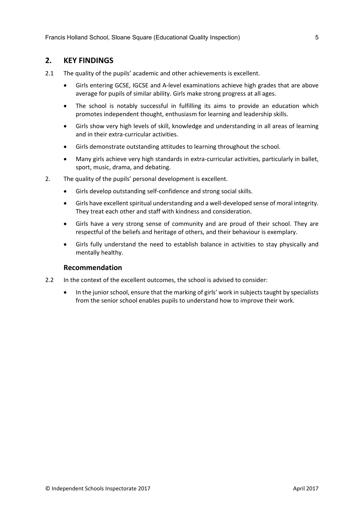## <span id="page-6-0"></span>**2. KEY FINDINGS**

- 2.1 The quality of the pupils' academic and other achievements is excellent.
	- Girls entering GCSE, IGCSE and A-level examinations achieve high grades that are above average for pupils of similar ability. Girls make strong progress at all ages.
	- The school is notably successful in fulfilling its aims to provide an education which promotes independent thought, enthusiasm for learning and leadership skills.
	- Girls show very high levels of skill, knowledge and understanding in all areas of learning and in their extra-curricular activities.
	- Girls demonstrate outstanding attitudes to learning throughout the school.
	- Many girls achieve very high standards in extra-curricular activities, particularly in ballet, sport, music, drama, and debating.
- 2. The quality of the pupils' personal development is excellent.
	- Girls develop outstanding self-confidence and strong social skills.
	- Girls have excellent spiritual understanding and a well-developed sense of moral integrity. They treat each other and staff with kindness and consideration.
	- Girls have a very strong sense of community and are proud of their school. They are respectful of the beliefs and heritage of others, and their behaviour is exemplary.
	- Girls fully understand the need to establish balance in activities to stay physically and mentally healthy.

#### <span id="page-6-1"></span>**Recommendation**

- 2.2 In the context of the excellent outcomes, the school is advised to consider:
	- In the junior school, ensure that the marking of girls' work in subjects taught by specialists from the senior school enables pupils to understand how to improve their work.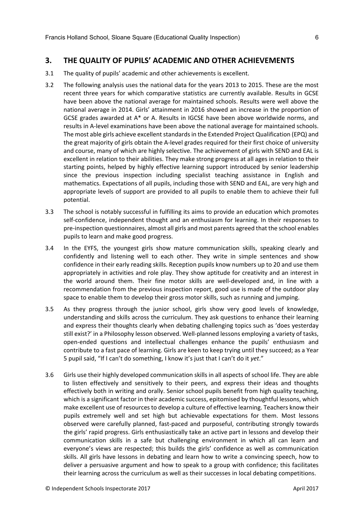# <span id="page-7-0"></span>**3. THE QUALITY OF PUPILS' ACADEMIC AND OTHER ACHIEVEMENTS**

- 3.1 The quality of pupils' academic and other achievements is excellent.
- 3.2 The following analysis uses the national data for the years 2013 to 2015. These are the most recent three years for which comparative statistics are currently available. Results in GCSE have been above the national average for maintained schools. Results were well above the national average in 2014. Girls' attainment in 2016 showed an increase in the proportion of GCSE grades awarded at A\* or A. Results in IGCSE have been above worldwide norms, and results in A-level examinations have been above the national average for maintained schools. The most able girls achieve excellent standards in the Extended Project Qualification (EPQ) and the great majority of girls obtain the A-level grades required for their first choice of university and course, many of which are highly selective. The achievement of girls with SEND and EAL is excellent in relation to their abilities. They make strong progress at all ages in relation to their starting points, helped by highly effective learning support introduced by senior leadership since the previous inspection including specialist teaching assistance in English and mathematics. Expectations of all pupils, including those with SEND and EAL, are very high and appropriate levels of support are provided to all pupils to enable them to achieve their full potential.
- 3.3 The school is notably successful in fulfilling its aims to provide an education which promotes self-confidence, independent thought and an enthusiasm for learning. In their responses to pre-inspection questionnaires, almost all girls and most parents agreed that the school enables pupils to learn and make good progress.
- 3.4 In the EYFS, the youngest girls show mature communication skills, speaking clearly and confidently and listening well to each other. They write in simple sentences and show confidence in their early reading skills. Reception pupils know numbers up to 20 and use them appropriately in activities and role play. They show aptitude for creativity and an interest in the world around them. Their fine motor skills are well-developed and, in line with a recommendation from the previous inspection report, good use is made of the outdoor play space to enable them to develop their gross motor skills, such as running and jumping.
- 3.5 As they progress through the junior school, girls show very good levels of knowledge, understanding and skills across the curriculum. They ask questions to enhance their learning and express their thoughts clearly when debating challenging topics such as 'does yesterday still exist?' in a Philosophy lesson observed. Well-planned lessons employing a variety of tasks, open-ended questions and intellectual challenges enhance the pupils' enthusiasm and contribute to a fast pace of learning. Girls are keen to keep trying until they succeed; as a Year 5 pupil said, "If I can't do something, I know it's just that I can't do it *yet*."
- 3.6 Girls use their highly developed communication skills in all aspects of school life. They are able to listen effectively and sensitively to their peers, and express their ideas and thoughts effectively both in writing and orally. Senior school pupils benefit from high quality teaching, which is a significant factor in their academic success, epitomised by thoughtful lessons, which make excellent use of resources to develop a culture of effective learning. Teachers know their pupils extremely well and set high but achievable expectations for them. Most lessons observed were carefully planned, fast-paced and purposeful, contributing strongly towards the girls' rapid progress. Girls enthusiastically take an active part in lessons and develop their communication skills in a safe but challenging environment in which all can learn and everyone's views are respected; this builds the girls' confidence as well as communication skills. All girls have lessons in debating and learn how to write a convincing speech, how to deliver a persuasive argument and how to speak to a group with confidence; this facilitates their learning across the curriculum as well as their successes in local debating competitions.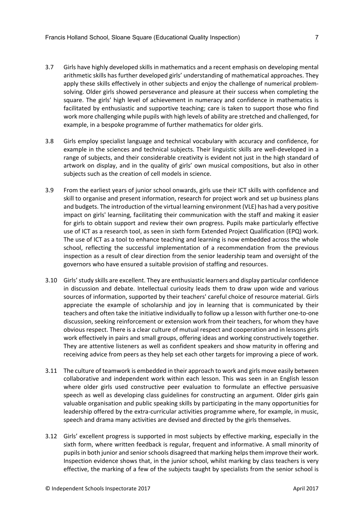- 3.7 Girls have highly developed skills in mathematics and a recent emphasis on developing mental arithmetic skills has further developed girls' understanding of mathematical approaches. They apply these skills effectively in other subjects and enjoy the challenge of numerical problemsolving. Older girls showed perseverance and pleasure at their success when completing the square. The girls' high level of achievement in numeracy and confidence in mathematics is facilitated by enthusiastic and supportive teaching; care is taken to support those who find work more challenging while pupils with high levels of ability are stretched and challenged, for example, in a bespoke programme of further mathematics for older girls.
- 3.8 Girls employ specialist language and technical vocabulary with accuracy and confidence, for example in the sciences and technical subjects. Their linguistic skills are well-developed in a range of subjects, and their considerable creativity is evident not just in the high standard of artwork on display, and in the quality of girls' own musical compositions, but also in other subjects such as the creation of cell models in science.
- 3.9 From the earliest years of junior school onwards, girls use their ICT skills with confidence and skill to organise and present information, research for project work and set up business plans and budgets. The introduction of the virtual learning environment (VLE) has had a very positive impact on girls' learning, facilitating their communication with the staff and making it easier for girls to obtain support and review their own progress. Pupils make particularly effective use of ICT as a research tool, as seen in sixth form Extended Project Qualification (EPQ) work. The use of ICT as a tool to enhance teaching and learning is now embedded across the whole school, reflecting the successful implementation of a recommendation from the previous inspection as a result of clear direction from the senior leadership team and oversight of the governors who have ensured a suitable provision of staffing and resources.
- 3.10 Girls'study skills are excellent. They are enthusiastic learners and display particular confidence in discussion and debate. Intellectual curiosity leads them to draw upon wide and various sources of information, supported by their teachers' careful choice of resource material. Girls appreciate the example of scholarship and joy in learning that is communicated by their teachers and often take the initiative individually to follow up a lesson with further one-to-one discussion, seeking reinforcement or extension work from their teachers, for whom they have obvious respect. There is a clear culture of mutual respect and cooperation and in lessons girls work effectively in pairs and small groups, offering ideas and working constructively together. They are attentive listeners as well as confident speakers and show maturity in offering and receiving advice from peers as they help set each other targets for improving a piece of work.
- 3.11 The culture of teamwork is embedded in their approach to work and girls move easily between collaborative and independent work within each lesson. This was seen in an English lesson where older girls used constructive peer evaluation to formulate an effective persuasive speech as well as developing class guidelines for constructing an argument. Older girls gain valuable organisation and public speaking skills by participating in the many opportunities for leadership offered by the extra-curricular activities programme where, for example, in music, speech and drama many activities are devised and directed by the girls themselves.
- 3.12 Girls' excellent progress is supported in most subjects by effective marking, especially in the sixth form, where written feedback is regular, frequent and informative. A small minority of pupils in both junior and senior schools disagreed that marking helps them improve their work. Inspection evidence shows that, in the junior school, whilst marking by class teachers is very effective, the marking of a few of the subjects taught by specialists from the senior school is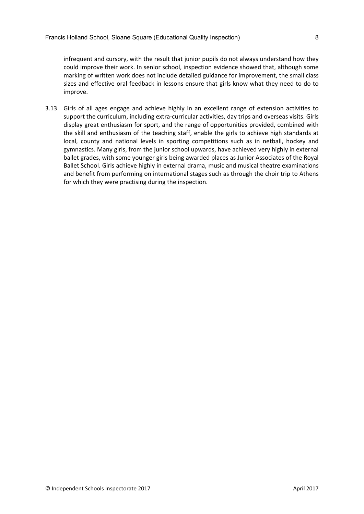infrequent and cursory, with the result that junior pupils do not always understand how they could improve their work. In senior school, inspection evidence showed that, although some marking of written work does not include detailed guidance for improvement, the small class sizes and effective oral feedback in lessons ensure that girls know what they need to do to improve.

3.13 Girls of all ages engage and achieve highly in an excellent range of extension activities to support the curriculum, including extra-curricular activities, day trips and overseas visits. Girls display great enthusiasm for sport, and the range of opportunities provided, combined with the skill and enthusiasm of the teaching staff, enable the girls to achieve high standards at local, county and national levels in sporting competitions such as in netball, hockey and gymnastics. Many girls, from the junior school upwards, have achieved very highly in external ballet grades, with some younger girls being awarded places as Junior Associates of the Royal Ballet School. Girls achieve highly in external drama, music and musical theatre examinations and benefit from performing on international stages such as through the choir trip to Athens for which they were practising during the inspection.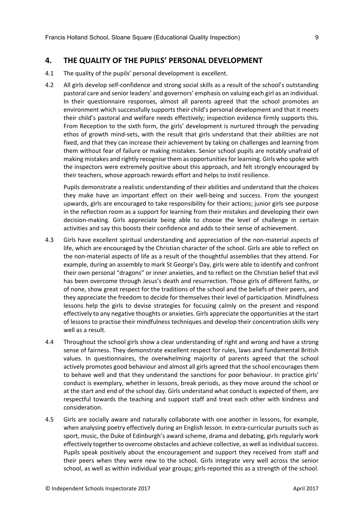#### <span id="page-10-0"></span>**4. THE QUALITY OF THE PUPILS' PERSONAL DEVELOPMENT**

- 4.1 The quality of the pupils' personal development is excellent.
- 4.2 All girls develop self-confidence and strong social skills as a result of the school's outstanding pastoral care and senior leaders' and governors' emphasis on valuing each girl as an individual. In their questionnaire responses, almost all parents agreed that the school promotes an environment which successfully supports their child's personal development and that it meets their child's pastoral and welfare needs effectively; inspection evidence firmly supports this. From Reception to the sixth form, the girls' development is nurtured through the pervading ethos of growth mind-sets, with the result that girls understand that their abilities are not fixed, and that they can increase their achievement by taking on challenges and learning from them without fear of failure or making mistakes. Senior school pupils are notably unafraid of making mistakes and rightly recognise them as opportunitiesfor learning. Girls who spoke with the inspectors were extremely positive about this approach, and felt strongly encouraged by their teachers, whose approach rewards effort and helps to instil resilience.

Pupils demonstrate a realistic understanding of their abilities and understand that the choices they make have an important effect on their well-being and success. From the youngest upwards, girls are encouraged to take responsibility for their actions; junior girls see purpose in the reflection room as a support for learning from their mistakes and developing their own decision-making. Girls appreciate being able to choose the level of challenge in certain activities and say this boosts their confidence and adds to their sense of achievement.

- 4.3 Girls have excellent spiritual understanding and appreciation of the non-material aspects of life, which are encouraged by the Christian character of the school. Girls are able to reflect on the non-material aspects of life as a result of the thoughtful assemblies that they attend. For example, during an assembly to mark St George's Day, girls were able to identify and confront their own personal "dragons" or inner anxieties, and to reflect on the Christian belief that evil has been overcome through Jesus's death and resurrection. Those girls of different faiths, or of none, show great respect for the traditions of the school and the beliefs of their peers, and they appreciate the freedom to decide for themselves their level of participation. Mindfulness lessons help the girls to devise strategies for focusing calmly on the present and respond effectively to any negative thoughts or anxieties. Girls appreciate the opportunities at the start of lessons to practise their mindfulness techniques and develop their concentration skills very well as a result.
- 4.4 Throughout the school girls show a clear understanding of right and wrong and have a strong sense of fairness. They demonstrate excellent respect for rules, laws and fundamental British values. In questionnaires, the overwhelming majority of parents agreed that the school actively promotes good behaviour and almost all girls agreed that the school encourages them to behave well and that they understand the sanctions for poor behaviour. In practice girls' conduct is exemplary, whether in lessons, break periods, as they move around the school or at the start and end of the school day. Girls understand what conduct is expected of them, are respectful towards the teaching and support staff and treat each other with kindness and consideration.
- 4.5 Girls are socially aware and naturally collaborate with one another in lessons, for example, when analysing poetry effectively during an English lesson. In extra-curricular pursuits such as sport, music, the Duke of Edinburgh's award scheme, drama and debating, girls regularly work effectively together to overcome obstacles and achieve collective, as well asindividualsuccess. Pupils speak positively about the encouragement and support they received from staff and their peers when they were new to the school. Girls integrate very well across the senior school, as well as within individual year groups; girls reported this as a strength of the school.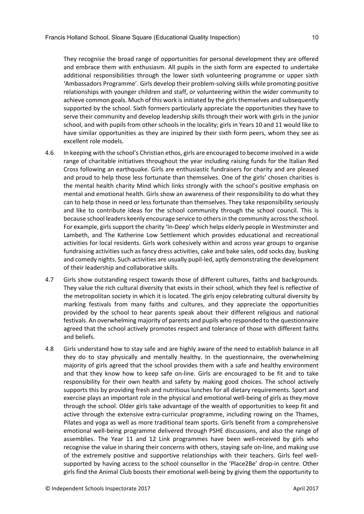They recognise the broad range of opportunities for personal development they are offered and embrace them with enthusiasm. All pupils in the sixth form are expected to undertake additional responsibilities through the lower sixth volunteering programme or upper sixth 'Ambassadors Programme'. Girls develop their problem-solving skills while promoting positive relationships with younger children and staff, or volunteering within the wider community to achieve common goals. Much of this work is initiated by the girls themselves and subsequently supported by the school. Sixth formers particularly appreciate the opportunities they have to serve their community and develop leadership skills through their work with girls in the junior school, and with pupils from other schools in the locality; girls in Years 10 and 11 would like to have similar opportunities as they are inspired by their sixth form peers, whom they see as excellent role models.

- 4.6 In keeping with the school's Christian ethos, girls are encouraged to become involved in a wide range of charitable initiatives throughout the year including raising funds for the Italian Red Cross following an earthquake. Girls are enthusiastic fundraisers for charity and are pleased and proud to help those less fortunate than themselves. One of the girls' chosen charities is the mental health charity Mind which links strongly with the school's positive emphasis on mental and emotional health. Girls show an awareness of their responsibility to do what they can to help those in need or less fortunate than themselves. They take responsibility seriously and like to contribute ideas for the school community through the school council. This is because school leaders keenly encourage service to othersin the community acrossthe school. For example, girls support the charity 'In-Deep' which helps elderly people in Westminster and Lambeth, and The Katherine Low Settlement which provides educational and recreational activities for local residents. Girls work cohesively within and across year groups to organise fundraising activities such asfancy dress activities, cake and bake sales, odd socks day, busking and comedy nights. Such activities are usually pupil-led, aptly demonstrating the development of their leadership and collaborative skills.
- 4.7 Girls show outstanding respect towards those of different cultures, faiths and backgrounds. They value the rich cultural diversity that exists in their school, which they feel is reflective of the metropolitan society in which it is located. The girls enjoy celebrating cultural diversity by marking festivals from many faiths and cultures, and they appreciate the opportunities provided by the school to hear parents speak about their different religious and national festivals. An overwhelming majority of parents and pupils who responded to the questionnaire agreed that the school actively promotes respect and tolerance of those with different faiths and beliefs.
- 4.8 Girls understand how to stay safe and are highly aware of the need to establish balance in all they do to stay physically and mentally healthy. In the questionnaire, the overwhelming majority of girls agreed that the school provides them with a safe and healthy environment and that they know how to keep safe on-line. Girls are encouraged to be fit and to take responsibility for their own health and safety by making good choices. The school actively supports this by providing fresh and nutritious lunches for all dietary requirements. Sport and exercise plays an important role in the physical and emotional well-being of girls as they move through the school. Older girls take advantage of the wealth of opportunities to keep fit and active through the extensive extra-curricular programme, including rowing on the Thames, Pilates and yoga as well as more traditional team sports. Girls benefit from a comprehensive emotional well-being programme delivered through PSHE discussions, and also the range of assemblies. The Year 11 and 12 Link programmes have been well-received by girls who recognise the value in sharing their concerns with others, staying safe on-line, and making use of the extremely positive and supportive relationships with their teachers. Girls feel wellsupported by having access to the school counsellor in the 'Place2Be' drop-in centre. Other girls find the Animal Club boosts their emotional well-being by giving them the opportunity to